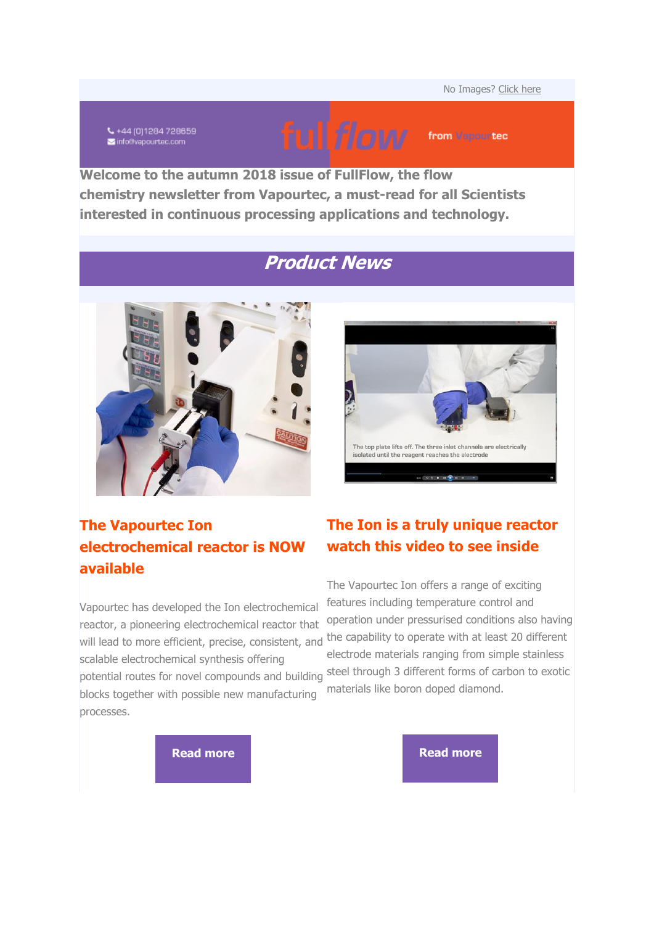No Images? [Click here](https://vapourtec.createsend1.com/t/r-e-jjkihhkk-l-td/)

↓+44 (0)1284 728659 info@vapourtec.com



from Vapourtec

**Welcome to the autumn 2018 issue of FullFlow, the flow chemistry newsletter from Vapourtec, a must-read for all Scientists interested in continuous processing applications and technology.**

## **Product News**



## **The Vapourtec Ion electrochemical reactor is NOW available**

Vapourtec has developed the Ion electrochemical reactor, a pioneering electrochemical reactor that scalable electrochemical synthesis offering blocks together with possible new manufacturing processes.



### **The Ion is a truly unique reactor watch this video to see inside**

will lead to more efficient, precise, consistent, and <sup>the</sup> capability to operate with at least 20 different potential routes for novel compounds and building steel through 3 different forms of carbon to exotic The Vapourtec Ion offers a range of exciting features including temperature control and operation under pressurised conditions also having electrode materials ranging from simple stainless materials like boron doped diamond.

**[Read more](https://vapourtec.createsend1.com/t/r-l-jjkihhkk-l-i/) Read more**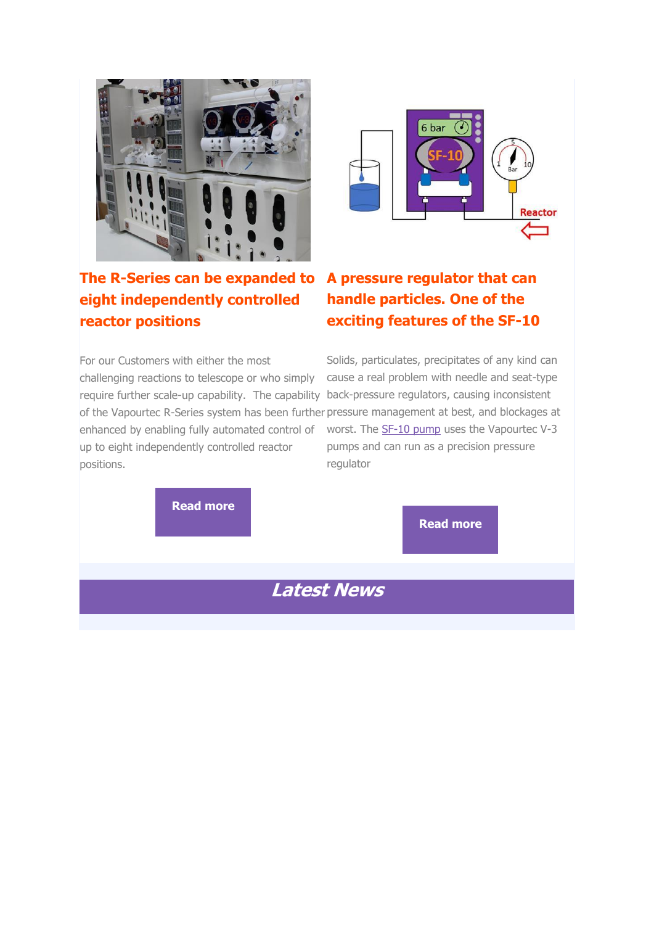



## **The R-Series can be expanded to eight independently controlled reactor positions**

For our Customers with either the most challenging reactions to telescope or who simply require further scale-up capability. The capability back-pressure regulators, causing inconsistent of the Vapourtec R-Series system has been further pressure management at best, and blockages at enhanced by enabling fully automated control of up to eight independently controlled reactor positions.

#### **A pressure regulator that can handle particles. One of the exciting features of the SF-10**

Solids, particulates, precipitates of any kind can cause a real problem with needle and seat-type worst. The **[SF-10 pump](https://vapourtec.createsend1.com/t/r-l-jjkihhkk-l-u/)** uses the Vapourtec V-3 pumps and can run as a precision pressure regulator

**[Read more](https://vapourtec.createsend1.com/t/r-l-jjkihhkk-l-h/)**

**[Read more](https://vapourtec.createsend1.com/t/r-l-jjkihhkk-l-o/)**

**Latest News**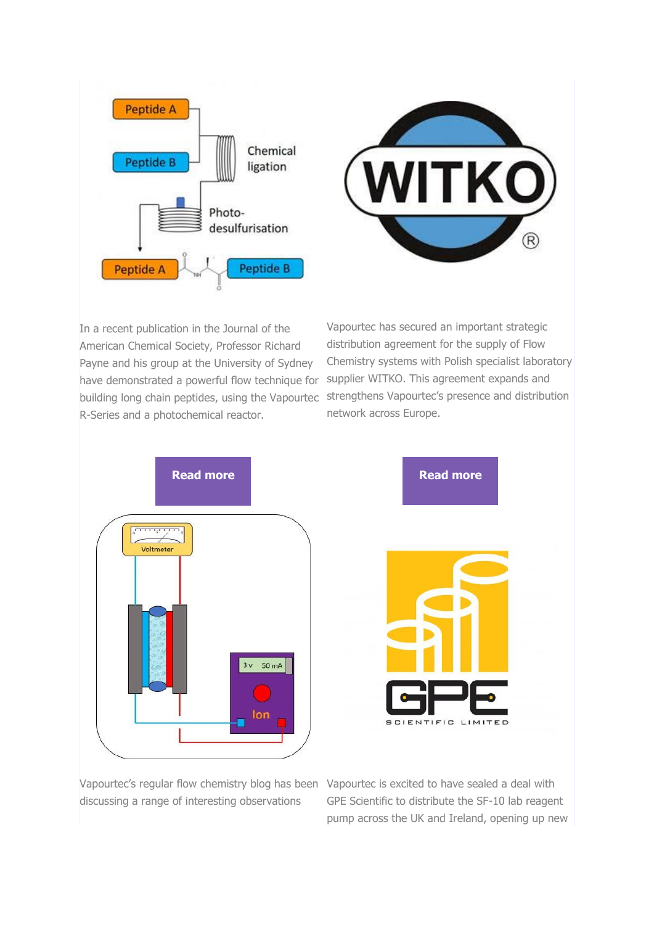



In a recent publication in the Journal of the American Chemical Society, Professor Richard Payne and his group at the University of Sydney have demonstrated a powerful flow technique for supplier WITKO. This agreement expands and R-Series and a photochemical reactor.

building long chain peptides, using the Vapourtec strengthens Vapourtec's presence and distribution Vapourtec has secured an important strategic distribution agreement for the supply of Flow Chemistry systems with Polish specialist laboratory network across Europe.





Vapourtec's regular flow chemistry blog has been Vapourtec is excited to have sealed a deal with discussing a range of interesting observations

GPE Scientific to distribute the SF-10 lab reagent pump across the UK and Ireland, opening up new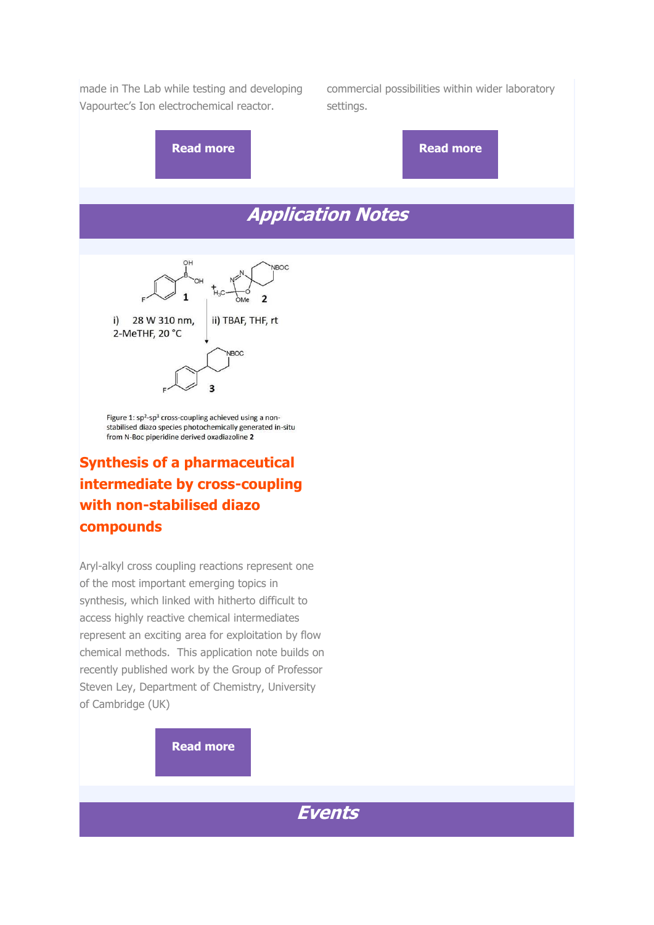made in The Lab while testing and developing Vapourtec's Ion electrochemical reactor.

commercial possibilities within wider laboratory settings.



Figure 1: sp<sup>2</sup>-sp<sup>3</sup> cross-coupling achieved using a nonstabilised diazo species photochemically generated in-situ from N-Boc piperidine derived oxadiazoline 2

### **Synthesis of a pharmaceutical intermediate by cross-coupling with non-stabilised diazo compounds**

Aryl-alkyl cross coupling reactions represent one of the most important emerging topics in synthesis, which linked with hitherto difficult to access highly reactive chemical intermediates represent an exciting area for exploitation by flow chemical methods. This application note builds on recently published work by the Group of Professor Steven Ley, Department of Chemistry, University of Cambridge (UK)

#### **[Read more](https://vapourtec.createsend1.com/t/r-l-jjkihhkk-l-z/)**

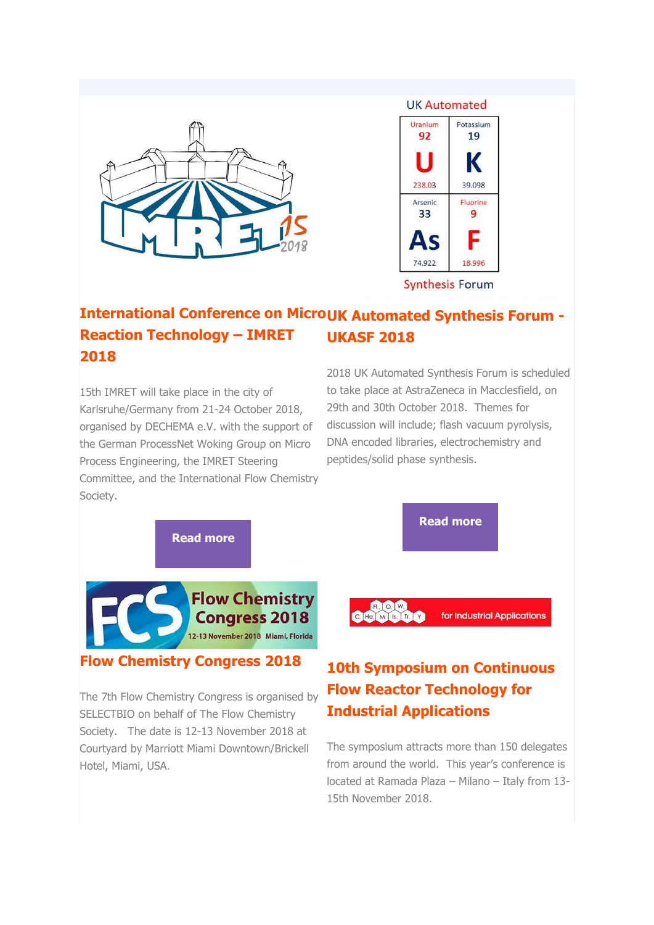

| Uranium<br>92 | Potassium<br>19 |
|---------------|-----------------|
|               |                 |
| 238.03        | 39.098          |
| Arsenic<br>33 | Fluorine<br>9   |
| Ąς            |                 |
| 74.922        | 18.996          |

÷.

 $\frac{1}{2}$ 

**Synthesis Forum** 

#### **International Conference on MicroUK Automated Synthesis Forum -Reaction Technology – IMRET 2018 UKASF 2018**

15th IMRET will take place in the city of Karlsruhe/Germany from 21-24 October 2018, organised by DECHEMA e.V. with the support of the German ProcessNet Woking Group on Micro Process Engineering, the IMRET Steering Committee, and the International Flow Chemistry Society.

2018 UK Automated Synthesis Forum is scheduled to take place at AstraZeneca in Macclesfield, on 29th and 30th October 2018. Themes for discussion will include; flash vacuum pyrolysis, DNA encoded libraries, electrochemistry and peptides/solid phase synthesis.



The 7th Flow Chemistry Congress is organised by SELECTBIO on behalf of The Flow Chemistry Society. The date is 12-13 November 2018 at Courtyard by Marriott Miami Downtown/Brickell Hotel, Miami, USA.

## **10th Symposium on Continuous Flow Reactor Technology for Industrial Applications**

The symposium attracts more than 150 delegates from around the world. This year's conference is located at Ramada Plaza – Milano – Italy from 13- 15th November 2018.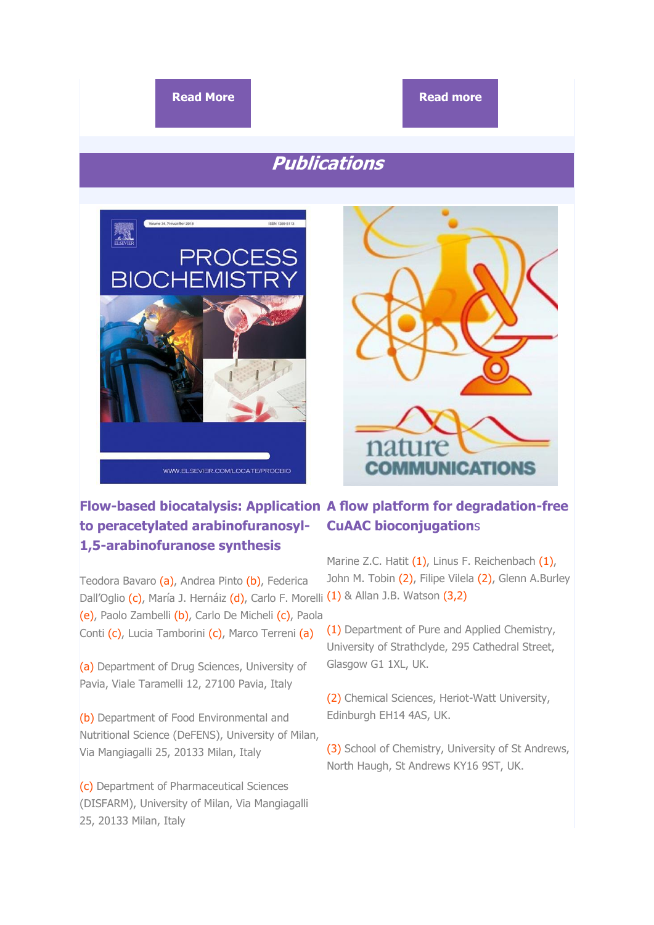#### **[Read More](https://vapourtec.createsend1.com/t/r-l-jjkihhkk-l-yd/) [Read more](https://vapourtec.createsend1.com/t/r-l-jjkihhkk-l-yk/)**

## **Publications**





#### **Flow-based biocatalysis: Application A flow platform for degradation-free to peracetylated arabinofuranosyl-1,5-arabinofuranose synthesis CuAAC bioconjugation**s

Teodora Bavaro (a), Andrea Pinto (b), Federica Dall'Oglio (c), María J. Hernáiz (d), Carlo F. Morelli (1) & Allan J.B. Watson (3,2) (e), Paolo Zambelli (b), Carlo De Micheli (c), Paola Conti (c), Lucia Tamborini (c), Marco Terreni (a)

(a) Department of Drug Sciences, University of Pavia, Viale Taramelli 12, 27100 Pavia, Italy

(b) Department of Food Environmental and Nutritional Science (DeFENS), University of Milan, Via Mangiagalli 25, 20133 Milan, Italy

(c) Department of Pharmaceutical Sciences (DISFARM), University of Milan, Via Mangiagalli 25, 20133 Milan, Italy

Marine Z.C. Hatit (1), Linus F. Reichenbach (1), John M. Tobin (2), Filipe Vilela (2), Glenn A.Burley

(1) Department of Pure and Applied Chemistry, University of Strathclyde, 295 Cathedral Street, Glasgow G1 1XL, UK.

(2) Chemical Sciences, Heriot-Watt University, Edinburgh EH14 4AS, UK.

(3) School of Chemistry, University of St Andrews, North Haugh, St Andrews KY16 9ST, UK.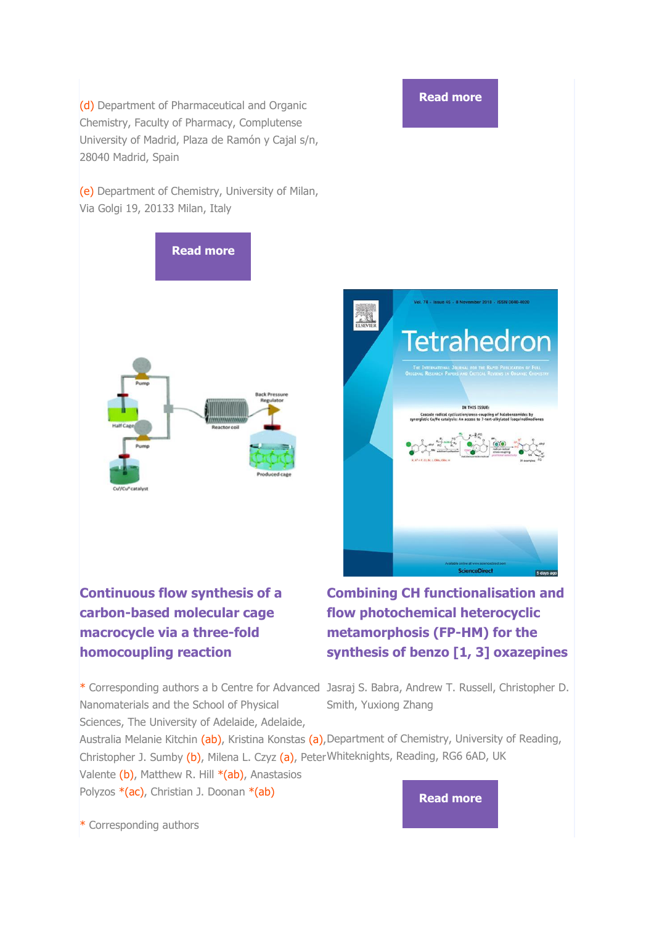(d) Department of Pharmaceutical and Organic Chemistry, Faculty of Pharmacy, Complutense University of Madrid, Plaza de Ramón y Cajal s/n, 28040 Madrid, Spain

(e) Department of Chemistry, University of Milan, Via Golgi 19, 20133 Milan, Italy



# **Continuous flow synthesis of a carbon-based molecular cage macrocycle via a three-fold homocoupling reaction**

**Combining CH functionalisation and flow photochemical heterocyclic metamorphosis (FP-HM) for the synthesis of benzo [1, 3] oxazepines**

ScienceDirect

Nanomaterials and the School of Physical Sciences, The University of Adelaide, Adelaide,

\* Corresponding authors a b Centre for Advanced Jasraj S. Babra, Andrew T. Russell, Christopher D. Smith, Yuxiong Zhang

Australia Melanie Kitchin (ab), Kristina Konstas (a), Department of Chemistry, University of Reading, Christopher J. Sumby (b), Milena L. Czyz (a), Peter Whiteknights, Reading, RG6 6AD, UK Valente (b), Matthew R. Hill \*(ab), Anastasios Polyzos \*(ac), Christian J. Doonan \*(ab) **[Read more](https://vapourtec.createsend1.com/t/r-l-jjkihhkk-l-jh/)**

\* Corresponding authors